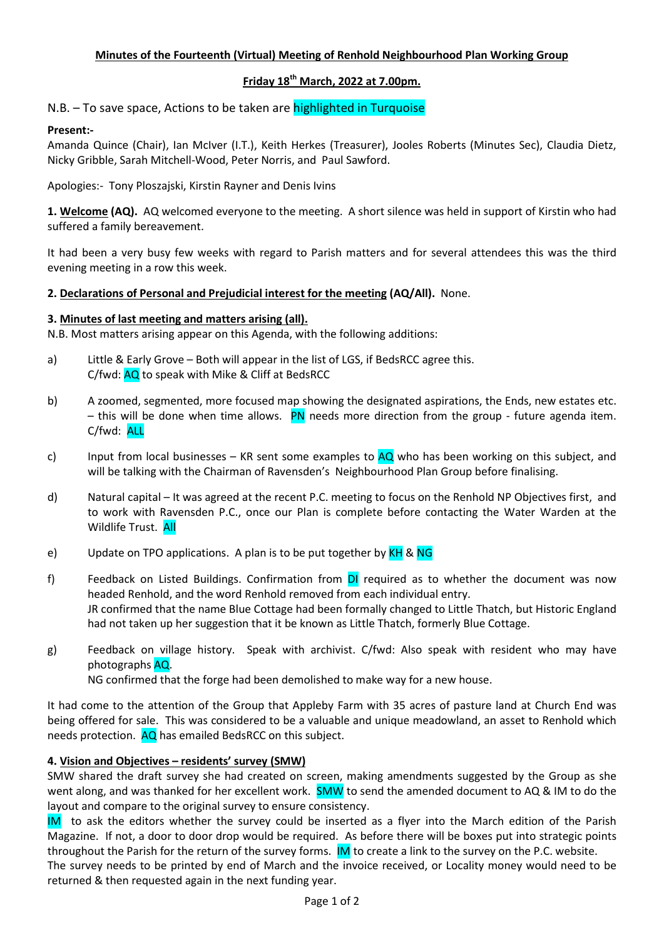## Minutes of the Fourteenth (Virtual) Meeting of Renhold Neighbourhood Plan Working Group

## Friday  $18<sup>th</sup>$  March, 2022 at 7.00pm.

N.B. – To save space, Actions to be taken are highlighted in Turquoise

## Present:-

Amanda Quince (Chair), Ian McIver (I.T.), Keith Herkes (Treasurer), Jooles Roberts (Minutes Sec), Claudia Dietz, Nicky Gribble, Sarah Mitchell-Wood, Peter Norris, and Paul Sawford.

Apologies:- Tony Ploszajski, Kirstin Rayner and Denis Ivins

1. Welcome (AQ). AQ welcomed everyone to the meeting. A short silence was held in support of Kirstin who had suffered a family bereavement.

It had been a very busy few weeks with regard to Parish matters and for several attendees this was the third evening meeting in a row this week.

#### 2. Declarations of Personal and Prejudicial interest for the meeting (AQ/All). None.

#### 3. Minutes of last meeting and matters arising (all).

N.B. Most matters arising appear on this Agenda, with the following additions:

- a) Little & Early Grove Both will appear in the list of LGS, if BedsRCC agree this. C/fwd: AQ to speak with Mike & Cliff at BedsRCC
- b) A zoomed, segmented, more focused map showing the designated aspirations, the Ends, new estates etc. – this will be done when time allows. PN needs more direction from the group - future agenda item. C/fwd: ALL
- c) Input from local businesses KR sent some examples to  $AQ$  who has been working on this subject, and will be talking with the Chairman of Ravensden's Neighbourhood Plan Group before finalising.
- d) Natural capital It was agreed at the recent P.C. meeting to focus on the Renhold NP Objectives first, and to work with Ravensden P.C., once our Plan is complete before contacting the Water Warden at the Wildlife Trust. All
- e) Update on TPO applications. A plan is to be put together by  $KH & NG$
- f) Feedback on Listed Buildings. Confirmation from DI required as to whether the document was now headed Renhold, and the word Renhold removed from each individual entry. JR confirmed that the name Blue Cottage had been formally changed to Little Thatch, but Historic England had not taken up her suggestion that it be known as Little Thatch, formerly Blue Cottage.
- g) Feedback on village history. Speak with archivist. C/fwd: Also speak with resident who may have photographs AQ. NG confirmed that the forge had been demolished to make way for a new house.

It had come to the attention of the Group that Appleby Farm with 35 acres of pasture land at Church End was being offered for sale. This was considered to be a valuable and unique meadowland, an asset to Renhold which needs protection. AQ has emailed BedsRCC on this subject.

## 4. Vision and Objectives – residents' survey (SMW)

SMW shared the draft survey she had created on screen, making amendments suggested by the Group as she went along, and was thanked for her excellent work. **SMW** to send the amended document to AQ & IM to do the layout and compare to the original survey to ensure consistency.

IM to ask the editors whether the survey could be inserted as a flyer into the March edition of the Parish Magazine. If not, a door to door drop would be required. As before there will be boxes put into strategic points throughout the Parish for the return of the survey forms. **IM** to create a link to the survey on the P.C. website.

The survey needs to be printed by end of March and the invoice received, or Locality money would need to be returned & then requested again in the next funding year.